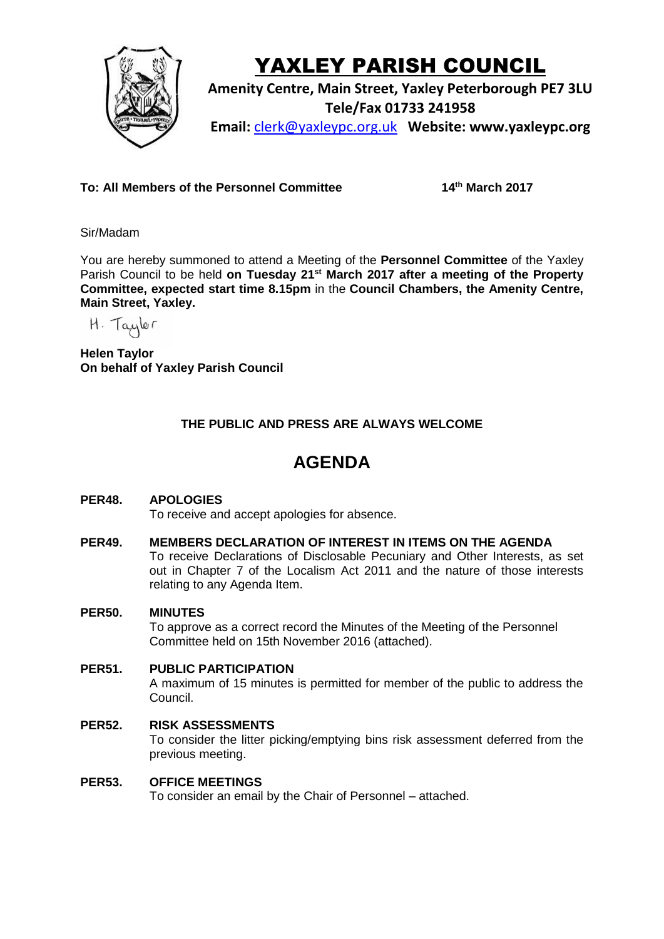

# YAXLEY PARISH COUNCIL

**Amenity Centre, Main Street, Yaxley Peterborough PE7 3LU Tele/Fax 01733 241958 Email:** [clerk@yaxleypc.org.uk](mailto:clerk@yaxleypc.org.uk) **Website: www.yaxleypc.org**

**To: All Members of the Personnel Committee 14th March 2017**

Sir/Madam

You are hereby summoned to attend a Meeting of the **Personnel Committee** of the Yaxley Parish Council to be held **on Tuesday 21st March 2017 after a meeting of the Property Committee, expected start time 8.15pm** in the **Council Chambers, the Amenity Centre, Main Street, Yaxley.**

H. Taylor

**Helen Taylor On behalf of Yaxley Parish Council**

## **THE PUBLIC AND PRESS ARE ALWAYS WELCOME**

## **AGENDA**

## **PER48. APOLOGIES**

To receive and accept apologies for absence.

## **PER49. MEMBERS DECLARATION OF INTEREST IN ITEMS ON THE AGENDA**

To receive Declarations of Disclosable Pecuniary and Other Interests, as set out in Chapter 7 of the Localism Act 2011 and the nature of those interests relating to any Agenda Item.

#### **PER50. MINUTES**

To approve as a correct record the Minutes of the Meeting of the Personnel Committee held on 15th November 2016 (attached).

#### **PER51. PUBLIC PARTICIPATION**

A maximum of 15 minutes is permitted for member of the public to address the Council.

### **PER52. RISK ASSESSMENTS** To consider the litter picking/emptying bins risk assessment deferred from the previous meeting.

#### **PER53. OFFICE MEETINGS**

To consider an email by the Chair of Personnel – attached.